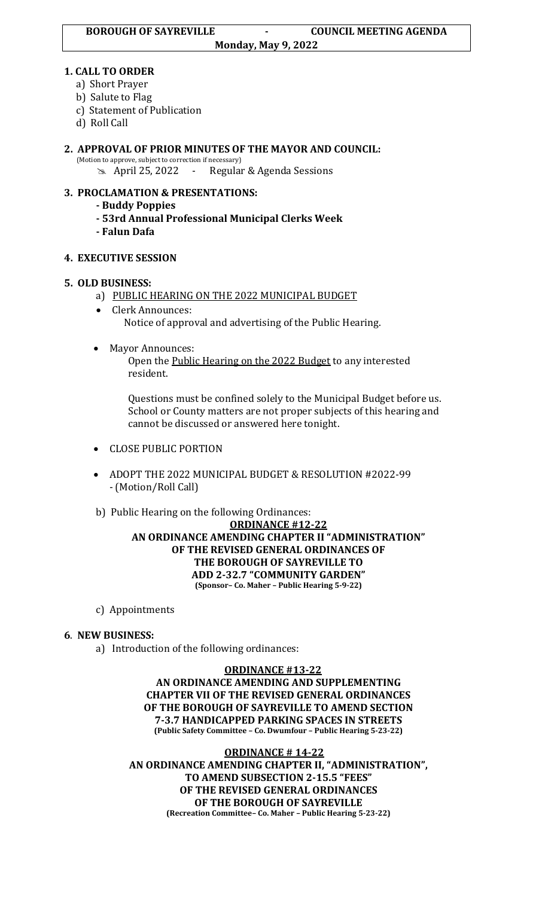**Monday, May 9, 2022**

### **1. CALL TO ORDER**

- a) Short Prayer
- b) Salute to Flag
- c) Statement of Publication
- d) Roll Call
- **2. APPROVAL OF PRIOR MINUTES OF THE MAYOR AND COUNCIL:**  (Motion to approve, subject to correction if necessary)

April 25, 2022 - Regular & Agenda Sessions

# **3. PROCLAMATION & PRESENTATIONS:**

- **- Buddy Poppies**
- **- 53rd Annual Professional Municipal Clerks Week**
- **- Falun Dafa**

# **4. EXECUTIVE SESSION**

# **5. OLD BUSINESS:**

- a) PUBLIC HEARING ON THE 2022 MUNICIPAL BUDGET
- Clerk Announces: Notice of approval and advertising of the Public Hearing.
- Mayor Announces:

Open the Public Hearing on the 2022 Budget to any interested resident.

Questions must be confined solely to the Municipal Budget before us. School or County matters are not proper subjects of this hearing and cannot be discussed or answered here tonight.

- CLOSE PUBLIC PORTION
- ADOPT THE 2022 MUNICIPAL BUDGET & RESOLUTION #2022-99 - (Motion/Roll Call)

# b) Public Hearing on the following Ordinances:

### **ORDINANCE #12-22 AN ORDINANCE AMENDING CHAPTER II "ADMINISTRATION" OF THE REVISED GENERAL ORDINANCES OF THE BOROUGH OF SAYREVILLE TO ADD 2-32.7 "COMMUNITY GARDEN" (Sponsor– Co. Maher – Public Hearing 5-9-22)**

c) Appointments

# **6**. **NEW BUSINESS:**

a) Introduction of the following ordinances:

#### **ORDINANCE #13-22**

**AN ORDINANCE AMENDING AND SUPPLEMENTING CHAPTER VII OF THE REVISED GENERAL ORDINANCES OF THE BOROUGH OF SAYREVILLE TO AMEND SECTION 7-3.7 HANDICAPPED PARKING SPACES IN STREETS (Public Safety Committee – Co. Dwumfour – Public Hearing 5-23-22)**

**ORDINANCE # 14-22 AN ORDINANCE AMENDING CHAPTER II, "ADMINISTRATION", TO AMEND SUBSECTION 2-15.5 "FEES" OF THE REVISED GENERAL ORDINANCES OF THE BOROUGH OF SAYREVILLE (Recreation Committee– Co. Maher – Public Hearing 5-23-22)**